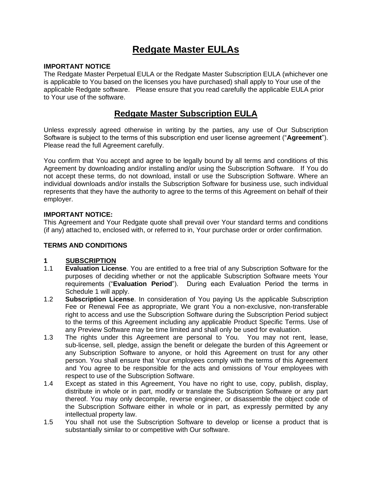## **Redgate Master EULAs**

#### **IMPORTANT NOTICE**

The Redgate Master Perpetual EULA or the Redgate Master Subscription EULA (whichever one is applicable to You based on the licenses you have purchased) shall apply to Your use of the applicable Redgate software. Please ensure that you read carefully the applicable EULA prior to Your use of the software.

## **Redgate Master Subscription EULA**

Unless expressly agreed otherwise in writing by the parties, any use of Our Subscription Software is subject to the terms of this subscription end user license agreement ("**Agreement**"). Please read the full Agreement carefully.

You confirm that You accept and agree to be legally bound by all terms and conditions of this Agreement by downloading and/or installing and/or using the Subscription Software. If You do not accept these terms, do not download, install or use the Subscription Software. Where an individual downloads and/or installs the Subscription Software for business use, such individual represents that they have the authority to agree to the terms of this Agreement on behalf of their employer.

#### **IMPORTANT NOTICE:**

This Agreement and Your Redgate quote shall prevail over Your standard terms and conditions (if any) attached to, enclosed with, or referred to in, Your purchase order or order confirmation.

#### **TERMS AND CONDITIONS**

#### **1 SUBSCRIPTION**

- 1.1 **Evaluation License**. You are entitled to a free trial of any Subscription Software for the purposes of deciding whether or not the applicable Subscription Software meets Your requirements ("**Evaluation Period**"). During each Evaluation Period the terms in Schedule 1 will apply.
- 1.2 **Subscription License**. In consideration of You paying Us the applicable Subscription Fee or Renewal Fee as appropriate, We grant You a non-exclusive, non-transferable right to access and use the Subscription Software during the Subscription Period subject to the terms of this Agreement including any applicable Product Specific Terms. Use of any Preview Software may be time limited and shall only be used for evaluation.
- 1.3 The rights under this Agreement are personal to You. You may not rent, lease, sub-license, sell, pledge, assign the benefit or delegate the burden of this Agreement or any Subscription Software to anyone, or hold this Agreement on trust for any other person. You shall ensure that Your employees comply with the terms of this Agreement and You agree to be responsible for the acts and omissions of Your employees with respect to use of the Subscription Software.
- 1.4 Except as stated in this Agreement, You have no right to use, copy, publish, display, distribute in whole or in part, modify or translate the Subscription Software or any part thereof. You may only decompile, reverse engineer, or disassemble the object code of the Subscription Software either in whole or in part, as expressly permitted by any intellectual property law.
- 1.5 You shall not use the Subscription Software to develop or license a product that is substantially similar to or competitive with Our software.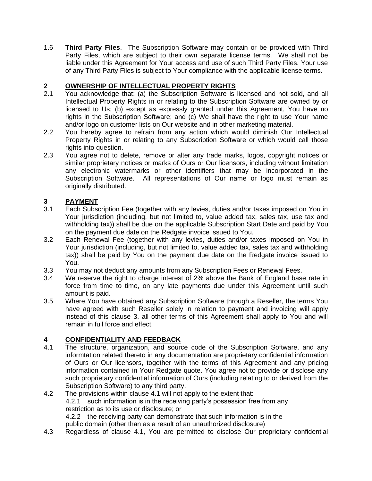1.6 **Third Party Files**. The Subscription Software may contain or be provided with Third Party Files, which are subject to their own separate license terms. We shall not be liable under this Agreement for Your access and use of such Third Party Files. Your use of any Third Party Files is subject to Your compliance with the applicable license terms.

## **2 OWNERSHIP OF INTELLECTUAL PROPERTY RIGHTS**

- 2.1 You acknowledge that: (a) the Subscription Software is licensed and not sold, and all Intellectual Property Rights in or relating to the Subscription Software are owned by or licensed to Us; (b) except as expressly granted under this Agreement, You have no rights in the Subscription Software; and (c) We shall have the right to use Your name and/or logo on customer lists on Our website and in other marketing material.
- 2.2 You hereby agree to refrain from any action which would diminish Our Intellectual Property Rights in or relating to any Subscription Software or which would call those rights into question.
- 2.3 You agree not to delete, remove or alter any trade marks, logos, copyright notices or similar proprietary notices or marks of Ours or Our licensors, including without limitation any electronic watermarks or other identifiers that may be incorporated in the Subscription Software. All representations of Our name or logo must remain as originally distributed.

## **3 PAYMENT**

- 3.1 Each Subscription Fee (together with any levies, duties and/or taxes imposed on You in Your jurisdiction (including, but not limited to, value added tax, sales tax, use tax and withholding tax)) shall be due on the applicable Subscription Start Date and paid by You on the payment due date on the Redgate invoice issued to You.
- 3.2 Each Renewal Fee (together with any levies, duties and/or taxes imposed on You in Your jurisdiction (including, but not limited to, value added tax, sales tax and withholding tax)) shall be paid by You on the payment due date on the Redgate invoice issued to You.
- 3.3 You may not deduct any amounts from any Subscription Fees or Renewal Fees.
- 3.4 We reserve the right to charge interest of 2% above the Bank of England base rate in force from time to time, on any late payments due under this Agreement until such amount is paid.
- 3.5 Where You have obtained any Subscription Software through a Reseller, the terms You have agreed with such Reseller solely in relation to payment and invoicing will apply instead of this clause 3, all other terms of this Agreement shall apply to You and will remain in full force and effect.

## **4 CONFIDENTIALITY AND FEEDBACK**

- 4.1 The structure, organization, and source code of the Subscription Software, and any informtation related thereto in any documentation are proprietary confidential information of Ours or Our licensors, together with the terms of this Agreement and any pricing information contained in Your Redgate quote. You agree not to provide or disclose any such proprietary confidential information of Ours (including relating to or derived from the Subscription Software) to any third party.
- 4.2 The provisions within clause 4.1 will not apply to the extent that: 4.2.1 such information is in the receiving party's possession free from any restriction as to its use or disclosure; or 4.2.2 the receiving party can demonstrate that such information is in the public domain (other than as a result of an unauthorized disclosure)
- 4.3 Regardless of clause 4.1, You are permitted to disclose Our proprietary confidential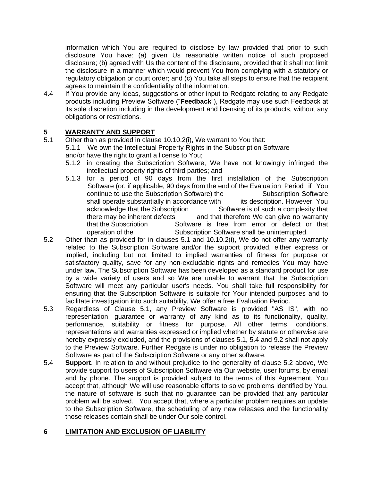information which You are required to disclose by law provided that prior to such disclosure You have: (a) given Us reasonable written notice of such proposed disclosure; (b) agreed with Us the content of the disclosure, provided that it shall not limit the disclosure in a manner which would prevent You from complying with a statutory or regulatory obligation or court order; and (c) You take all steps to ensure that the recipient agrees to maintain the confidentiality of the information.

4.4 If You provide any ideas, suggestions or other input to Redgate relating to any Redgate products including Preview Software ("**Feedback**"), Redgate may use such Feedback at its sole discretion including in the development and licensing of its products, without any obligations or restrictions.

## **5 WARRANTY AND SUPPORT**

- 5.1 Other than as provided in clause 10.10.2(i), We warrant to You that: 5.1.1 We own the Intellectual Property Rights in the Subscription Software and/or have the right to grant a license to You;
	- 5.1.2 in creating the Subscription Software, We have not knowingly infringed the intellectual property rights of third parties; and
	- 5.1.3 for a period of 90 days from the first installation of the Subscription Software (or, if applicable, 90 days from the end of the Evaluation Period if You continue to use the Subscription Software) the Subscription Software shall operate substantially in accordance with its description. However, You acknowledge that the Subscription Software is of such a complexity that there may be inherent defects and that therefore We can give no warranty that the Subscription Software is free from error or defect or that operation of the Subscription Software shall be uninterrupted.
- 5.2 Other than as provided for in clauses 5.1 and 10.10.2(i), We do not offer any warranty related to the Subscription Software and/or the support provided, either express or implied, including but not limited to implied warranties of fitness for purpose or satisfactory quality, save for any non-excludable rights and remedies You may have under law. The Subscription Software has been developed as a standard product for use by a wide variety of users and so We are unable to warrant that the Subscription Software will meet any particular user's needs. You shall take full responsibility for ensuring that the Subscription Software is suitable for Your intended purposes and to facilitate investigation into such suitability, We offer a free Evaluation Period.
- 5.3 Regardless of Clause 5.1, any Preview Software is provided "AS IS", with no representation, guarantee or warranty of any kind as to its functionality, quality, performance, suitability or fitness for purpose. All other terms, conditions, representations and warranties expressed or implied whether by statute or otherwise are hereby expressly excluded, and the provisions of clauses 5.1, 5.4 and 9.2 shall not apply to the Preview Software. Further Redgate is under no obligation to release the Preview Software as part of the Subscription Software or any other software.
- 5.4 **Support**. In relation to and without prejudice to the generality of clause 5.2 above, We provide support to users of Subscription Software via Our website, user forums, by email and by phone. The support is provided subject to the terms of this Agreement. You accept that, although We will use reasonable efforts to solve problems identified by You, the nature of software is such that no guarantee can be provided that any particular problem will be solved. You accept that, where a particular problem requires an update to the Subscription Software, the scheduling of any new releases and the functionality those releases contain shall be under Our sole control.

## **6 LIMITATION AND EXCLUSION OF LIABILITY**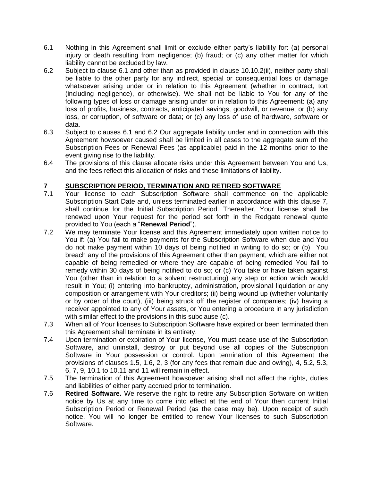- 6.1 Nothing in this Agreement shall limit or exclude either party's liability for: (a) personal injury or death resulting from negligence; (b) fraud; or (c) any other matter for which liability cannot be excluded by law.
- 6.2 Subject to clause 6.1 and other than as provided in clause 10.10.2(ii), neither party shall be liable to the other party for any indirect, special or consequential loss or damage whatsoever arising under or in relation to this Agreement (whether in contract, tort (including negligence), or otherwise). We shall not be liable to You for any of the following types of loss or damage arising under or in relation to this Agreement: (a) any loss of profits, business, contracts, anticipated savings, goodwill, or revenue; or (b) any loss, or corruption, of software or data; or (c) any loss of use of hardware, software or data.
- 6.3 Subject to clauses 6.1 and 6.2 Our aggregate liability under and in connection with this Agreement howsoever caused shall be limited in all cases to the aggregate sum of the Subscription Fees or Renewal Fees (as applicable) paid in the 12 months prior to the event giving rise to the liability.
- 6.4 The provisions of this clause allocate risks under this Agreement between You and Us, and the fees reflect this allocation of risks and these limitations of liability.

## **7 SUBSCRIPTION PERIOD, TERMINATION AND RETIRED SOFTWARE**

- 7.1 Your license to each Subscription Software shall commence on the applicable Subscription Start Date and, unless terminated earlier in accordance with this clause 7, shall continue for the Initial Subscription Period. Thereafter, Your license shall be renewed upon Your request for the period set forth in the Redgate renewal quote provided to You (each a "**Renewal Period**").
- 7.2 We may terminate Your license and this Agreement immediately upon written notice to You if: (a) You fail to make payments for the Subscription Software when due and You do not make payment within 10 days of being notified in writing to do so; or (b) You breach any of the provisions of this Agreement other than payment, which are either not capable of being remedied or where they are capable of being remedied You fail to remedy within 30 days of being notified to do so; or (c) You take or have taken against You (other than in relation to a solvent restructuring) any step or action which would result in You; (i) entering into bankruptcy, administration, provisional liquidation or any composition or arrangement with Your creditors; (ii) being wound up (whether voluntarily or by order of the court), (iii) being struck off the register of companies; (iv) having a receiver appointed to any of Your assets, or You entering a procedure in any jurisdiction with similar effect to the provisions in this subclause (c).
- 7.3 When all of Your licenses to Subscription Software have expired or been terminated then this Agreement shall terminate in its entirety.
- 7.4 Upon termination or expiration of Your license, You must cease use of the Subscription Software, and uninstall, destroy or put beyond use all copies of the Subscription Software in Your possession or control. Upon termination of this Agreement the provisions of clauses 1.5, 1.6, 2, 3 (for any fees that remain due and owing), 4, 5.2, 5.3, 6, 7, 9, 10.1 to 10.11 and 11 will remain in effect.
- 7.5 The termination of this Agreement howsoever arising shall not affect the rights, duties and liabilities of either party accrued prior to termination.
- 7.6 **Retired Software.** We reserve the right to retire any Subscription Software on written notice by Us at any time to come into effect at the end of Your then current Initial Subscription Period or Renewal Period (as the case may be). Upon receipt of such notice, You will no longer be entitled to renew Your licenses to such Subscription Software.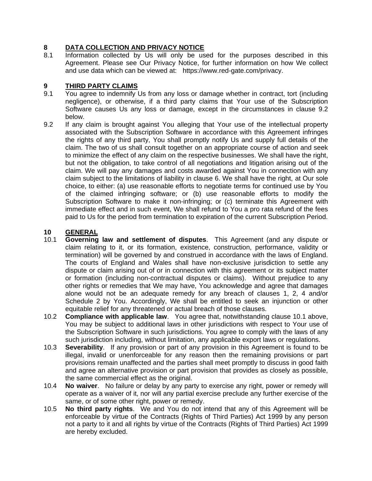## **8 DATA COLLECTION AND PRIVACY NOTICE**

8.1 Information collected by Us will only be used for the purposes described in this Agreement. Please see Our Privacy Notice, for further information on how We collect and use data which can be viewed at: [https://www.red-gate.com/privacy.](https://www.red-gate.com/privacy)

## **9 THIRD PARTY CLAIMS**

- 9.1 You agree to indemnify Us from any loss or damage whether in contract, tort (including negligence), or otherwise, if a third party claims that Your use of the Subscription Software causes Us any loss or damage, except in the circumstances in clause 9.2 below.
- 9.2 If any claim is brought against You alleging that Your use of the intellectual property associated with the Subscription Software in accordance with this Agreement infringes the rights of any third party, You shall promptly notify Us and supply full details of the claim. The two of us shall consult together on an appropriate course of action and seek to minimize the effect of any claim on the respective businesses. We shall have the right, but not the obligation, to take control of all negotiations and litigation arising out of the claim. We will pay any damages and costs awarded against You in connection with any claim subject to the limitations of liability in clause 6. We shall have the right, at Our sole choice, to either: (a) use reasonable efforts to negotiate terms for continued use by You of the claimed infringing software; or (b) use reasonable efforts to modify the Subscription Software to make it non-infringing; or (c) terminate this Agreement with immediate effect and in such event, We shall refund to You a pro rata refund of the fees paid to Us for the period from termination to expiration of the current Subscription Period.

## **10 GENERAL**

- 10.1 **Governing law and settlement of disputes**. This Agreement (and any dispute or claim relating to it, or its formation, existence, construction, performance, validity or termination) will be governed by and construed in accordance with the laws of England. The courts of England and Wales shall have non-exclusive jurisdiction to settle any dispute or claim arising out of or in connection with this agreement or its subject matter or formation (including non-contractual disputes or claims). Without prejudice to any other rights or remedies that We may have, You acknowledge and agree that damages alone would not be an adequate remedy for any breach of clauses 1, 2, 4 and/or Schedule 2 by You. Accordingly, We shall be entitled to seek an injunction or other equitable relief for any threatened or actual breach of those clauses.
- 10.2 **Compliance with applicable law**. You agree that, notwithstanding clause 10.1 above, You may be subject to additional laws in other jurisdictions with respect to Your use of the Subscription Software in such jurisdictions. You agree to comply with the laws of any such jurisdiction including, without limitation, any applicable export laws or regulations.
- 10.3 **Severability**. If any provision or part of any provision in this Agreement is found to be illegal, invalid or unenforceable for any reason then the remaining provisions or part provisions remain unaffected and the parties shall meet promptly to discuss in good faith and agree an alternative provision or part provision that provides as closely as possible, the same commercial effect as the original.
- 10.4 **No waiver**. No failure or delay by any party to exercise any right, power or remedy will operate as a waiver of it, nor will any partial exercise preclude any further exercise of the same, or of some other right, power or remedy.
- 10.5 **No third party rights**. We and You do not intend that any of this Agreement will be enforceable by virtue of the Contracts (Rights of Third Parties) Act 1999 by any person not a party to it and all rights by virtue of the Contracts (Rights of Third Parties) Act 1999 are hereby excluded.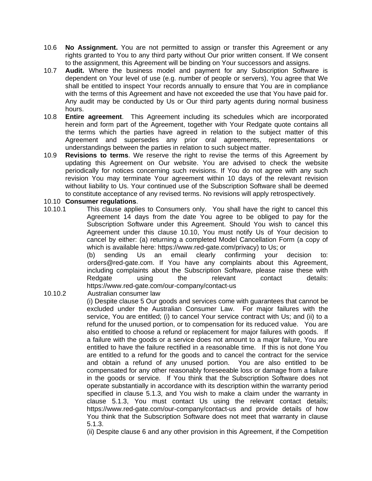- 10.6 **No Assignment.** You are not permitted to assign or transfer this Agreement or any rights granted to You to any third party without Our prior written consent. If We consent to the assignment, this Agreement will be binding on Your successors and assigns.
- 10.7 **Audit.** Where the business model and payment for any Subscription Software is dependent on Your level of use (e.g. number of people or servers), You agree that We shall be entitled to inspect Your records annually to ensure that You are in compliance with the terms of this Agreement and have not exceeded the use that You have paid for. Any audit may be conducted by Us or Our third party agents during normal business hours.
- 10.8 **Entire agreement**. This Agreement including its schedules which are incorporated herein and form part of the Agreement, together with Your Redgate quote contains all the terms which the parties have agreed in relation to the subject matter of this Agreement and supersedes any prior oral agreements, representations or understandings between the parties in relation to such subject matter.
- 10.9 **Revisions to terms**. We reserve the right to revise the terms of this Agreement by updating this Agreement on Our website. You are advised to check the website periodically for notices concerning such revisions. If You do not agree with any such revision You may terminate Your agreement within 10 days of the relevant revision without liability to Us. Your continued use of the Subscription Software shall be deemed to constitute acceptance of any revised terms. No revisions will apply retrospectively.

#### 10.10 **Consumer regulations**.

10.10.1 This clause applies to Consumers only. You shall have the right to cancel this Agreement 14 days from the date You agree to be obliged to pay for the Subscription Software under this Agreement. Should You wish to cancel this Agreement under this clause 10.10, You must notify Us of Your decision to cancel by either: (a) returning a completed Model Cancellation Form (a copy of which is available here: [https://www.red-gate.com/privacy\)](https://www.red-gate.com/privacy) to Us; or

(b) sending Us an email clearly confirming your decision to: orders@red-gate.com. If You have any complaints about this Agreement, including complaints about the Subscription Software, please raise these with Redgate using the relevant contact details: <https://www.red-gate.com/our-company/contact-us>

10.10.2 Australian consumer law

(i) Despite clause 5 Our goods and services come with guarantees that cannot be excluded under the Australian Consumer Law. For major failures with the service, You are entitled; (i) to cancel Your service contract with Us; and (ii) to a refund for the unused portion, or to compensation for its reduced value. You are also entitled to choose a refund or replacement for major failures with goods. If a failure with the goods or a service does not amount to a major failure, You are entitled to have the failure rectified in a reasonable time. If this is not done You are entitled to a refund for the goods and to cancel the contract for the service and obtain a refund of any unused portion. You are also entitled to be compensated for any other reasonably foreseeable loss or damage from a failure in the goods or service. If You think that the Subscription Software does not operate substantially in accordance with its description within the warranty period specified in clause 5.1.3, and You wish to make a claim under the warranty in clause 5.1.3, You must contact Us using the relevant contact details; <https://www.red-gate.com/our-company/contact-us> and provide details of how You think that the Subscription Software does not meet that warranty in clause 5.1.3.

(ii) Despite clause 6 and any other provision in this Agreement, if the Competition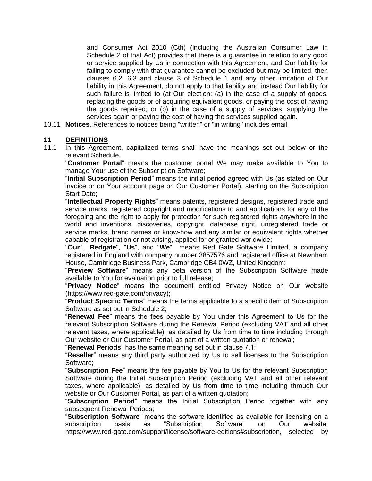and Consumer Act 2010 (Cth) (including the Australian Consumer Law in Schedule 2 of that Act) provides that there is a guarantee in relation to any good or service supplied by Us in connection with this Agreement, and Our liability for failing to comply with that guarantee cannot be excluded but may be limited, then clauses 6.2, 6.3 and clause 3 of Schedule 1 and any other limitation of Our liability in this Agreement, do not apply to that liability and instead Our liability for such failure is limited to (at Our election: (a) in the case of a supply of goods, replacing the goods or of acquiring equivalent goods, or paying the cost of having the goods repaired; or (b) in the case of a supply of services, supplying the services again or paying the cost of having the services supplied again.

10.11 **Notices**. References to notices being "written" or "in writing" includes email.

#### **11 DEFINITIONS**

11.1 In this Agreement, capitalized terms shall have the meanings set out below or the relevant Schedule.

"**Customer Portal**" means the customer portal We may make available to You to manage Your use of the Subscription Software;

"**Initial Subscription Period**" means the initial period agreed with Us (as stated on Our invoice or on Your account page on Our Customer Portal), starting on the Subscription Start Date;

"**Intellectual Property Rights**" means patents, registered designs, registered trade and service marks, registered copyright and modifications to and applications for any of the foregoing and the right to apply for protection for such registered rights anywhere in the world and inventions, discoveries, copyright, database right, unregistered trade or service marks, brand names or know-how and any similar or equivalent rights whether capable of registration or not arising, applied for or granted worldwide;

"**Our**", "**Redgate**", "**Us**", and "**We**" means Red Gate Software Limited, a company registered in England with company number 3857576 and registered office at Newnham House, Cambridge Business Park, Cambridge CB4 0WZ, United Kingdom;

"**Preview Software**" means any beta version of the Subscription Software made available to You for evaluation prior to full release;

"**Privacy Notice**" means the document entitled Privacy Notice on Our website [\(https://www.red-gate.com/privacy\)](https://www.red-gate.com/privacy);

"**Product Specific Terms**" means the terms applicable to a specific item of Subscription Software as set out in Schedule 2;

"**Renewal Fee**" means the fees payable by You under this Agreement to Us for the relevant Subscription Software during the Renewal Period (excluding VAT and all other relevant taxes, where applicable), as detailed by Us from time to time including through Our website or Our Customer Portal, as part of a written quotation or renewal;

"**Renewal Periods**" has the same meaning set out in clause 7.1;

"**Reseller**" means any third party authorized by Us to sell licenses to the Subscription Software;

"**Subscription Fee**" means the fee payable by You to Us for the relevant Subscription Software during the Initial Subscription Period (excluding VAT and all other relevant taxes, where applicable), as detailed by Us from time to time including through Our website or Our Customer Portal, as part of a written quotation;

"**Subscription Period**" means the Initial Subscription Period together with any subsequent Renewal Periods;

"**Subscription Software**" means the software identified as available for licensing on a subscription basis as "Subscription Software" on Our website: [https://www.red-gate.com/support/license/software-editions#subscription,](https://www.red-gate.com/support/license/software-editions#subscription) selected by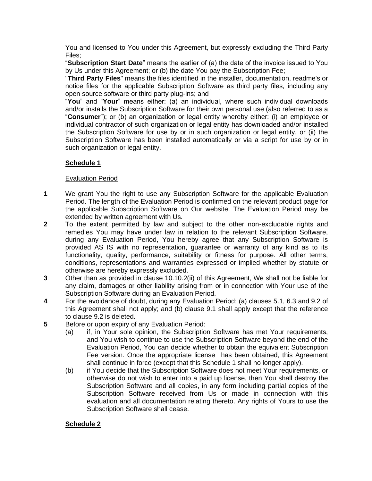You and licensed to You under this Agreement, but expressly excluding the Third Party Files;

"**Subscription Start Date**" means the earlier of (a) the date of the invoice issued to You by Us under this Agreement; or (b) the date You pay the Subscription Fee;

"**Third Party Files**" means the files identified in the installer, documentation, readme's or notice files for the applicable Subscription Software as third party files, including any open source software or third party plug-ins; and

"**You**" and "**Your**" means either: (a) an individual, where such individual downloads and/or installs the Subscription Software for their own personal use (also referred to as a "**Consumer**"); or (b) an organization or legal entity whereby either: (i) an employee or individual contractor of such organization or legal entity has downloaded and/or installed the Subscription Software for use by or in such organization or legal entity, or (ii) the Subscription Software has been installed automatically or via a script for use by or in such organization or legal entity.

## **Schedule 1**

## Evaluation Period

- **1** We grant You the right to use any Subscription Software for the applicable Evaluation Period. The length of the Evaluation Period is confirmed on the relevant product page for the applicable Subscription Software on Our website. The Evaluation Period may be extended by written agreement with Us.
- **2** To the extent permitted by law and subject to the other non-excludable rights and remedies You may have under law in relation to the relevant Subscription Software, during any Evaluation Period, You hereby agree that any Subscription Software is provided AS IS with no representation, guarantee or warranty of any kind as to its functionality, quality, performance, suitability or fitness for purpose. All other terms, conditions, representations and warranties expressed or implied whether by statute or otherwise are hereby expressly excluded.
- **3** Other than as provided in clause 10.10.2(ii) of this Agreement, We shall not be liable for any claim, damages or other liability arising from or in connection with Your use of the Subscription Software during an Evaluation Period.
- **4** For the avoidance of doubt, during any Evaluation Period: (a) clauses 5.1, 6.3 and 9.2 of this Agreement shall not apply; and (b) clause 9.1 shall apply except that the reference to clause 9.2 is deleted.
- **5** Before or upon expiry of any Evaluation Period:
	- (a) if, in Your sole opinion, the Subscription Software has met Your requirements, and You wish to continue to use the Subscription Software beyond the end of the Evaluation Period, You can decide whether to obtain the equivalent Subscription Fee version. Once the appropriate license has been obtained, this Agreement shall continue in force (except that this Schedule 1 shall no longer apply).
	- (b) if You decide that the Subscription Software does not meet Your requirements, or otherwise do not wish to enter into a paid up license, then You shall destroy the Subscription Software and all copies, in any form including partial copies of the Subscription Software received from Us or made in connection with this evaluation and all documentation relating thereto. Any rights of Yours to use the Subscription Software shall cease.

## **Schedule 2**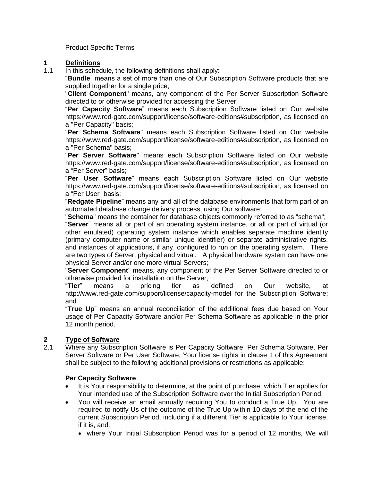Product Specific Terms

# **1 Definitions**

In this schedule, the following definitions shall apply:

"**Bundle**" means a set of more than one of Our Subscription Software products that are supplied together for a single price;

"**Client Component**" means, any component of the Per Server Subscription Software directed to or otherwise provided for accessing the Server;

"**Per Capacity Software**" means each Subscription Software listed on Our website [https://www.red-gate.com/support/license/software-editions#subscription,](https://www.red-gate.com/support/license/software-editions#subscription) as licensed on a "Per Capacity" basis;

"**Per Schema Software**" means each Subscription Software listed on Our website [https://www.red-gate.com/support/license/software-editions#subscription,](https://www.red-gate.com/support/license/software-editions#subscription) as licensed on a "Per Schema" basis;

"**Per Server Software**" means each Subscription Software listed on Our website [https://www.red-gate.com/support/license/software-editions#subscription,](https://www.red-gate.com/support/license/software-editions#subscription) as licensed on a "Per Server" basis;

"**Per User Software**" means each Subscription Software listed on Our website [https://www.red-gate.com/support/license/software-editions#subscription,](https://www.red-gate.com/support/license/software-editions#subscription) as licensed on a "Per User" basis;

"**Redgate Pipeline**" means any and all of the database environments that form part of an automated database change delivery process, using Our software;

"**Schema**" means the container for database objects commonly referred to as "schema";

"**Server**" means all or part of an operating system instance, or all or part of virtual (or other emulated) operating system instance which enables separate machine identity (primary computer name or similar unique identifier) or separate administrative rights, and instances of applications, if any, configured to run on the operating system. There are two types of Server, physical and virtual. A physical hardware system can have one physical Server and/or one more virtual Servers;

"**Server Component**" means, any component of the Per Server Software directed to or otherwise provided for installation on the Server;

"**Tier**" means a pricing tier as defined on Our website, at <http://www.red-gate.com/support/license/capacity-model> for the Subscription Software; and

"**True Up**" means an annual reconciliation of the additional fees due based on Your usage of Per Capacity Software and/or Per Schema Software as applicable in the prior 12 month period.

## **2 Type of Software**

2.1 Where any Subscription Software is Per Capacity Software, Per Schema Software, Per Server Software or Per User Software, Your license rights in clause 1 of this Agreement shall be subject to the following additional provisions or restrictions as applicable:

#### **Per Capacity Software**

- It is Your responsibility to determine, at the point of purchase, which Tier applies for Your intended use of the Subscription Software over the Initial Subscription Period.
- You will receive an email annually requiring You to conduct a True Up. You are required to notify Us of the outcome of the True Up within 10 days of the end of the current Subscription Period, including if a different Tier is applicable to Your license, if it is, and:
	- where Your Initial Subscription Period was for a period of 12 months, We will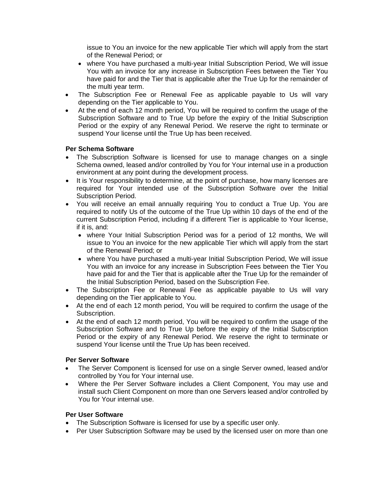issue to You an invoice for the new applicable Tier which will apply from the start of the Renewal Period; or

- where You have purchased a multi-year Initial Subscription Period, We will issue You with an invoice for any increase in Subscription Fees between the Tier You have paid for and the Tier that is applicable after the True Up for the remainder of the multi year term.
- The Subscription Fee or Renewal Fee as applicable payable to Us will vary depending on the Tier applicable to You.
- At the end of each 12 month period, You will be required to confirm the usage of the Subscription Software and to True Up before the expiry of the Initial Subscription Period or the expiry of any Renewal Period. We reserve the right to terminate or suspend Your license until the True Up has been received.

#### **Per Schema Software**

- The Subscription Software is licensed for use to manage changes on a single Schema owned, leased and/or controlled by You for Your internal use in a production environment at any point during the development process.
- It is Your responsibility to determine, at the point of purchase, how many licenses are required for Your intended use of the Subscription Software over the Initial Subscription Period.
- You will receive an email annually requiring You to conduct a True Up. You are required to notify Us of the outcome of the True Up within 10 days of the end of the current Subscription Period, including if a different Tier is applicable to Your license, if it is, and:
	- where Your Initial Subscription Period was for a period of 12 months, We will issue to You an invoice for the new applicable Tier which will apply from the start of the Renewal Period; or
	- where You have purchased a multi-year Initial Subscription Period, We will issue You with an invoice for any increase in Subscription Fees between the Tier You have paid for and the Tier that is applicable after the True Up for the remainder of the Initial Subscription Period, based on the Subscription Fee.
- The Subscription Fee or Renewal Fee as applicable payable to Us will vary depending on the Tier applicable to You.
- At the end of each 12 month period, You will be required to confirm the usage of the Subscription.
- At the end of each 12 month period, You will be required to confirm the usage of the Subscription Software and to True Up before the expiry of the Initial Subscription Period or the expiry of any Renewal Period. We reserve the right to terminate or suspend Your license until the True Up has been received.

#### **Per Server Software**

- The Server Component is licensed for use on a single Server owned, leased and/or controlled by You for Your internal use.
- Where the Per Server Software includes a Client Component, You may use and install such Client Component on more than one Servers leased and/or controlled by You for Your internal use.

#### **Per User Software**

- The Subscription Software is licensed for use by a specific user only.
- Per User Subscription Software may be used by the licensed user on more than one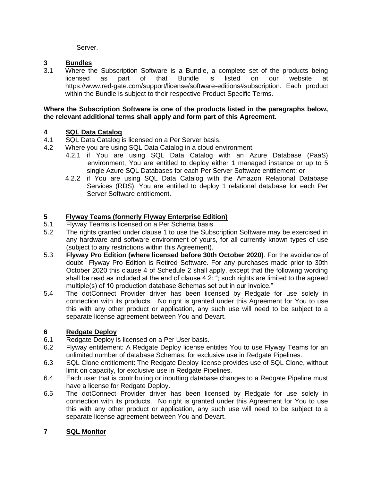Server.

## **3 Bundles**

 $\overline{W}$ here the Subscription Software is a Bundle, a complete set of the products being licensed as part of that Bundle is listed on our website at [https://www.red-gate.com/support/license/software-editions#subscription.](https://www.red-gate.com/support/license/software-editions#subscription) Each product within the Bundle is subject to their respective Product Specific Terms.

#### **Where the Subscription Software is one of the products listed in the paragraphs below, the relevant additional terms shall apply and form part of this Agreement.**

## **4 SQL Data Catalog**

- 4.1 SQL Data Catalog is licensed on a Per Server basis.
- 4.2 Where you are using SQL Data Catalog in a cloud environment:
	- 4.2.1 if You are using SQL Data Catalog with an Azure Database (PaaS) environment, You are entitled to deploy either 1 managed instance or up to 5 single Azure SQL Databases for each Per Server Software entitlement; or
	- 4.2.2 if You are using SQL Data Catalog with the Amazon Relational Database Services (RDS), You are entitled to deploy 1 relational database for each Per Server Software entitlement.

## **5 Flyway Teams (formerly Flyway Enterprise Edition)**

- 5.1 Flyway Teams is licensed on a Per Schema basis.
- 5.2 The rights granted under clause 1 to use the Subscription Software may be exercised in any hardware and software environment of yours, for all currently known types of use (subject to any restrictions within this Agreement).
- 5.3 **Flyway Pro Edition (where licensed before 30th October 2020)**. For the avoidance of doubt Flyway Pro Edition is Retired Software. For any purchases made prior to 30th October 2020 this clause 4 of Schedule 2 shall apply, except that the following wording shall be read as included at the end of clause 4.2: "; such rights are limited to the agreed multiple(s) of 10 production database Schemas set out in our invoice."
- 5.4 The dotConnect Provider driver has been licensed by Redgate for use solely in connection with its products. No right is granted under this Agreement for You to use this with any other product or application, any such use will need to be subject to a separate license agreement between You and Devart.

## **6 Redgate Deploy**

- 6.1 Redgate Deploy is licensed on a Per User basis.
- 6.2 Flyway entitlement: A Redgate Deploy license entitles You to use Flyway Teams for an unlimited number of database Schemas, for exclusive use in Redgate Pipelines.
- 6.3 SQL Clone entitlement: The Redgate Deploy license provides use of SQL Clone, without limit on capacity, for exclusive use in Redgate Pipelines.
- 6.4 Each user that is contributing or inputting database changes to a Redgate Pipeline must have a license for Redgate Deploy.
- 6.5 The dotConnect Provider driver has been licensed by Redgate for use solely in connection with its products. No right is granted under this Agreement for You to use this with any other product or application, any such use will need to be subject to a separate license agreement between You and Devart.

## **7 SQL Monitor**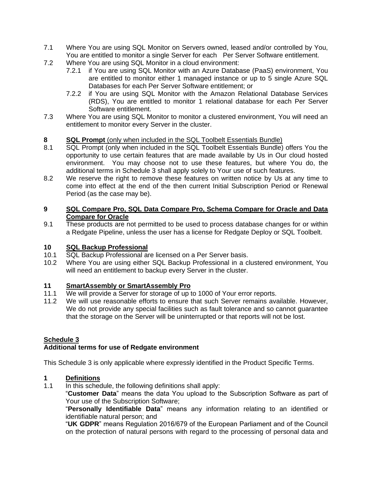- 7.1 Where You are using SQL Monitor on Servers owned, leased and/or controlled by You, You are entitled to monitor a single Server for each Per Server Software entitlement.
- 7.2 Where You are using SQL Monitor in a cloud environment:
	- 7.2.1 if You are using SQL Monitor with an Azure Database (PaaS) environment, You are entitled to monitor either 1 managed instance or up to 5 single Azure SQL Databases for each Per Server Software entitlement; or
	- 7.2.2 if You are using SQL Monitor with the Amazon Relational Database Services (RDS), You are entitled to monitor 1 relational database for each Per Server Software entitlement.
- 7.3 Where You are using SQL Monitor to monitor a clustered environment, You will need an entitlement to monitor every Server in the cluster.

#### **8 SQL Prompt** (only when included in the SQL Toolbelt Essentials Bundle)

- 8.1 SQL Prompt (only when included in the SQL Toolbelt Essentials Bundle) offers You the opportunity to use certain features that are made available by Us in Our cloud hosted environment. You may choose not to use these features, but where You do, the additional terms in Schedule 3 shall apply solely to Your use of such features.
- 8.2 We reserve the right to remove these features on written notice by Us at any time to come into effect at the end of the then current Initial Subscription Period or Renewal Period (as the case may be).

#### **9 SQL Compare Pro, SQL Data Compare Pro, Schema Compare for Oracle and Data Compare for Oracle**

9.1 These products are not permitted to be used to process database changes for or within a Redgate Pipeline, unless the user has a license for Redgate Deploy or SQL Toolbelt.

## **10 SQL Backup Professional**

- SQL Backup Professional are licensed on a Per Server basis.
- 10.2 Where You are using either SQL Backup Professional in a clustered environment, You will need an entitlement to backup every Server in the cluster.

#### **11 SmartAssembly or SmartAssembly Pro**

- 11.1 We will provide a Server for storage of up to 1000 of Your error reports.
- 11.2 We will use reasonable efforts to ensure that such Server remains available. However, We do not provide any special facilities such as fault tolerance and so cannot guarantee that the storage on the Server will be uninterrupted or that reports will not be lost.

#### **Schedule 3**

#### **Additional terms for use of Redgate environment**

This Schedule 3 is only applicable where expressly identified in the Product Specific Terms.

#### **1 Definitions**

1.1 In this schedule, the following definitions shall apply:

"**Customer Data**" means the data You upload to the Subscription Software as part of Your use of the Subscription Software;

"**Personally Identifiable Data**" means any information relating to an identified or identifiable natural person; and

"**UK GDPR**" means Regulation 2016/679 of the European Parliament and of the Council on the protection of natural persons with regard to the processing of personal data and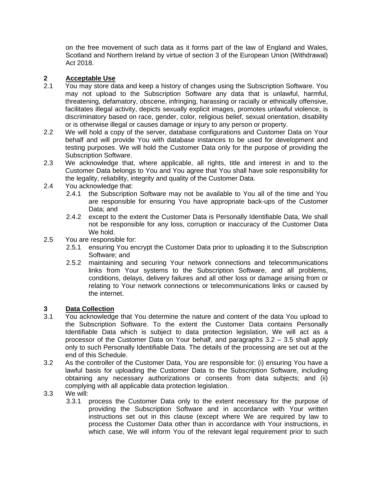on the free movement of such data as it forms part of the law of England and Wales, Scotland and Northern Ireland by virtue of section 3 of the European Union (Withdrawal) Act 2018.

### **2 Acceptable Use**

- 2.1 You may store data and keep a history of changes using the Subscription Software. You may not upload to the Subscription Software any data that is unlawful, harmful, threatening, defamatory, obscene, infringing, harassing or racially or ethnically offensive, facilitates illegal activity, depicts sexually explicit images, promotes unlawful violence, is discriminatory based on race, gender, color, religious belief, sexual orientation, disability or is otherwise illegal or causes damage or injury to any person or property.
- 2.2 We will hold a copy of the server, database configurations and Customer Data on Your behalf and will provide You with database instances to be used for development and testing purposes. We will hold the Customer Data only for the purpose of providing the Subscription Software.
- 2.3 We acknowledge that, where applicable, all rights, title and interest in and to the Customer Data belongs to You and You agree that You shall have sole responsibility for the legality, reliability, integrity and quality of the Customer Data.
- 2.4 You acknowledge that:
	- 2.4.1 the Subscription Software may not be available to You all of the time and You are responsible for ensuring You have appropriate back-ups of the Customer Data; and
	- 2.4.2 except to the extent the Customer Data is Personally Identifiable Data, We shall not be responsible for any loss, corruption or inaccuracy of the Customer Data We hold.
- 2.5 You are responsible for:
	- 2.5.1 ensuring You encrypt the Customer Data prior to uploading it to the Subscription Software; and
	- 2.5.2 maintaining and securing Your network connections and telecommunications links from Your systems to the Subscription Software, and all problems, conditions, delays, delivery failures and all other loss or damage arising from or relating to Your network connections or telecommunications links or caused by the internet.

## **3 Data Collection**

- 3.1 You acknowledge that You determine the nature and content of the data You upload to the Subscription Software. To the extent the Customer Data contains Personally Identifiable Data which is subject to data protection legislation, We will act as a processor of the Customer Data on Your behalf, and paragraphs 3.2 – 3.5 shall apply only to such Personally Identifiable Data. The details of the processing are set out at the end of this Schedule.
- 3.2 As the controller of the Customer Data, You are responsible for: (i) ensuring You have a lawful basis for uploading the Customer Data to the Subscription Software, including obtaining any necessary authorizations or consents from data subjects; and (ii) complying with all applicable data protection legislation.
- 3.3 We will:
	- 3.3.1 process the Customer Data only to the extent necessary for the purpose of providing the Subscription Software and in accordance with Your written instructions set out in this clause (except where We are required by law to process the Customer Data other than in accordance with Your instructions, in which case, We will inform You of the relevant legal requirement prior to such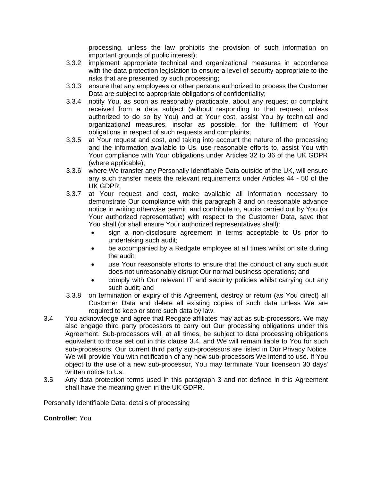processing, unless the law prohibits the provision of such information on important grounds of public interest);

- 3.3.2 implement appropriate technical and organizational measures in accordance with the data protection legislation to ensure a level of security appropriate to the risks that are presented by such processing;
- 3.3.3 ensure that any employees or other persons authorized to process the Customer Data are subject to appropriate obligations of confidentiality;
- 3.3.4 notify You, as soon as reasonably practicable, about any request or complaint received from a data subject (without responding to that request, unless authorized to do so by You) and at Your cost, assist You by technical and organizational measures, insofar as possible, for the fulfilment of Your obligations in respect of such requests and complaints;
- 3.3.5 at Your request and cost, and taking into account the nature of the processing and the information available to Us, use reasonable efforts to, assist You with Your compliance with Your obligations under Articles 32 to 36 of the UK GDPR (where applicable);
- 3.3.6 where We transfer any Personally Identifiable Data outside of the UK, will ensure any such transfer meets the relevant requirements under Articles 44 - 50 of the UK GDPR;
- 3.3.7 at Your request and cost, make available all information necessary to demonstrate Our compliance with this paragraph 3 and on reasonable advance notice in writing otherwise permit, and contribute to, audits carried out by You (or Your authorized representative) with respect to the Customer Data, save that You shall (or shall ensure Your authorized representatives shall):
	- sign a non-disclosure agreement in terms acceptable to Us prior to undertaking such audit;
	- be accompanied by a Redgate employee at all times whilst on site during the audit;
	- use Your reasonable efforts to ensure that the conduct of any such audit does not unreasonably disrupt Our normal business operations; and
	- comply with Our relevant IT and security policies whilst carrying out any such audit; and
- 3.3.8 on termination or expiry of this Agreement, destroy or return (as You direct) all Customer Data and delete all existing copies of such data unless We are required to keep or store such data by law.
- 3.4 You acknowledge and agree that Redgate affiliates may act as sub-processors. We may also engage third party processors to carry out Our processing obligations under this Agreement. Sub-processors will, at all times, be subject to data processing obligations equivalent to those set out in this clause 3.4, and We will remain liable to You for such sub-processors. Our current third party sub-processors are listed in Our Privacy Notice. We will provide You with notification of any new sub-processors We intend to use. If You object to the use of a new sub-processor, You may terminate Your licenseon 30 days' written notice to Us.
- 3.5 Any data protection terms used in this paragraph 3 and not defined in this Agreement shall have the meaning given in the UK GDPR.

#### Personally Identifiable Data: details of processing

**Controller**: You